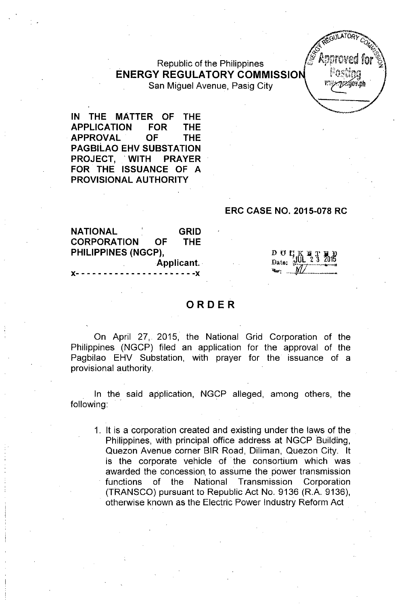# $R$ epublic of the Philippines ENERGY REGULATORY COMMISSION FOSTing<br>San Miguel Avenue, Pasig City **San Miguel Avenue**, Pasig City

**IN THE MATTER OF THE APPLICATION FOR THE APPROVAL OF THE PAGBILAO EHV SUBSTATION PROJECT, . WITH PRAYER FOR THE ISSUANCE OF A PROVISIONAL AUTHORITY**

#### **ERC CASE NO. 2015-078 RC**

**GRID THE NATIONAL CORPORATION OF PHILIPPINES (NGCP), Applicant.** J(- - - - - - - - - - - - - - - - - • - - - -J(

DUCKETED  $\mathscr{M}$ 

**EQULATORY REQULATORY**  $\mathcal{L}$  . The set of  $\mathcal{L}$ 

## **ORDER**

On April 27, 2015, the National Grid Corporation of the Philippines (NGCP) filed an application for the approval of the Pagbilao EHV Substation, with prayer for the issuance of a provisional authority.

In the said application, NGCP alleged, among others, the following: .

1. It is a corporation created and existing under the laws of the Philippines, with principal office address at NGCP Building, Quezon Avenue corner BIR Road, Diliman, Quezon City. It is the corporate vehicle of the consortium which was awarded the concession, to assume the power transmission functions of the National Transmission Corporation (TRANSCO) pursuant to Republic Act No. 9136 (R.A. 9136), otherwise known as the Electric Power Industry Reform Act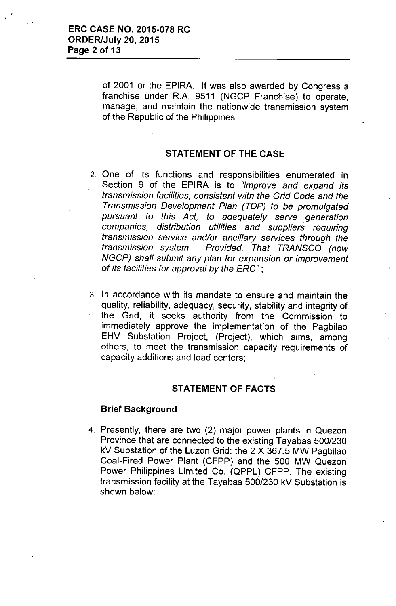, '

of 2001 or the EPIRA. It was also awarded by Congress a franchise under R.A. 9511 (NGCP Franchise) to operate, manage, and maintain the nationwide transmission system of the Republic of the Philippines;

#### **STATEMENT OF THE CASE**

- 2. One of its functions and responsibilities enumerated in Section 9 of the EPIRA is to *"improve and expand its transmission facilities, consistent with the Grid Code and the Transmission Development Plan (TOP) to be promulgated pursuant to this Act, to adequately serve generation companies,. distribution utilities and suppliers requiring transmission service and/or ancillary services through the transmission system: Provided, That TRANSCO (now NGCP) shall submit any plan for expansion or improvement of its facilities for approval by the ERC" ;*
- 3. In accordance with its mandate to ensure and maintain the quality, reliability, adequacy, security, stability and integrity of the Grid, it seeks authority from the Commission to immediately approve the implementation of the Pagbilao EHV Substation Project, (Project), which aims, among others, to meet the transmission capacity requirements of capacity additions and load centers;

#### **STATEMENT OF FACTS**

#### **Brief Background**

4. Presently, there are two (2) major power plants in Quezon Province that are connected to the existing Tayabas 500/230 kV Substation of the Luzon Grid: the 2 X 367.5 MW Pagbilao Coal-Fired Power Plant (CFPP) and the 500 MW Quezon Power Philippines limited Co. (QPPL) CFPP. The existing transmission facility at the Tayabas 500/230 kV Substation is shown below: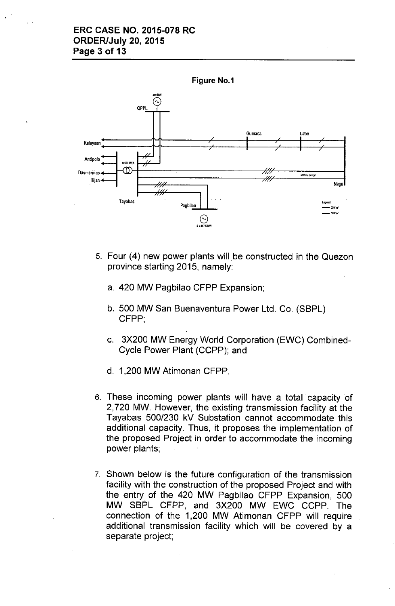

- 5. Four (4) new power plants will be constructed in the Quezon province starting 2015, namely:
	- a. 420 MW Pagbilao CFPP Expansion;
	- b. 500 MW San Buenaventura Power Ltd. Co. (SBPL) CFPP;
	- c. 3X200 MW Energy World Corporation (EWC) Combined-Cycle Power Plant (CCPP); and
	- d. 1,200 MW Atimonan CFPP.
- 6. These incoming power plants will have a total. capacity of 2,720 MW. However, the existing transmission facility at the Tayabas 500/230 kV Substation cannot accommodate this additional capacity. Thus, it proposes the implementation of the proposed Project in order to accommodate the incoming power plants;
- 7. Shown below is the future configuration of the transmission facility with the construction of the proposed Project and with the entry of the 420 MW Pagbilao CFPP Expansion, 500 MW SBPL CFPP, and 3X200 MW EWC CCPP. The connection of the 1,200 MW Atimonan CFPP will require additional transmission facility which will be covered by a separate project;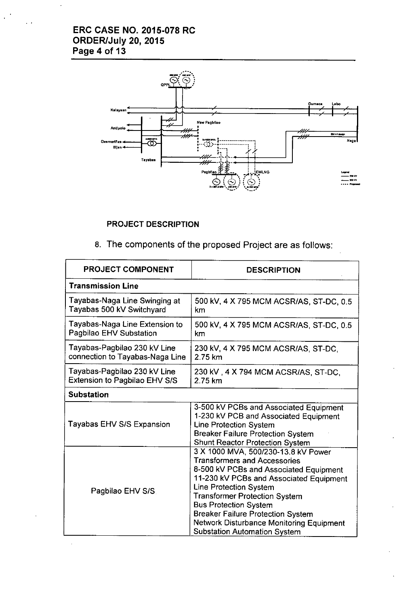# **ERC CASE NO. 2015-078 RC ORDER/July 20, 2015 Page 4 of 13**

 $\ddot{\phantom{a}}$ 



## **PROJECT DESCRIPTION**

8. The components of the proposed Project are as follows:

| <b>PROJECT COMPONENT</b>                                        | <b>DESCRIPTION</b>                                                                                                                                                                                                                                                                                                                                                                                             |
|-----------------------------------------------------------------|----------------------------------------------------------------------------------------------------------------------------------------------------------------------------------------------------------------------------------------------------------------------------------------------------------------------------------------------------------------------------------------------------------------|
| <b>Transmission Line</b>                                        |                                                                                                                                                                                                                                                                                                                                                                                                                |
| Tayabas-Naga Line Swinging at<br>Tayabas 500 kV Switchyard      | 500 kV, 4 X 795 MCM ACSR/AS, ST-DC, 0.5<br>km                                                                                                                                                                                                                                                                                                                                                                  |
| Tayabas-Naga Line Extension to<br>Pagbilao EHV Substation       | 500 kV, 4 X 795 MCM ACSR/AS, ST-DC, 0.5<br>km                                                                                                                                                                                                                                                                                                                                                                  |
| Tayabas-Pagbilao 230 kV Line<br>connection to Tayabas-Naga Line | 230 kV, 4 X 795 MCM ACSR/AS, ST-DC,<br>2.75 km                                                                                                                                                                                                                                                                                                                                                                 |
| Tayabas-Pagbilao 230 kV Line<br>Extension to Pagbilao EHV S/S   | 230 kV, 4 X 794 MCM ACSR/AS, ST-DC,<br>2.75 km                                                                                                                                                                                                                                                                                                                                                                 |
| <b>Substation</b>                                               |                                                                                                                                                                                                                                                                                                                                                                                                                |
| Tayabas EHV S/S Expansion                                       | 3-500 kV PCBs and Associated Equipment<br>1-230 kV PCB and Associated Equipment<br><b>Line Protection System</b><br><b>Breaker Failure Protection System</b><br><b>Shunt Reactor Protection System</b>                                                                                                                                                                                                         |
| Pagbilao EHV S/S                                                | 3 X 1000 MVA, 500/230-13.8 kV Power<br><b>Transformers and Accessories</b><br>8-500 kV PCBs and Associated Equipment<br>11-230 kV PCBs and Associated Equipment<br><b>Line Protection System</b><br><b>Transformer Protection System</b><br><b>Bus Protection System</b><br><b>Breaker Failure Protection System</b><br><b>Network Disturbance Monitoring Equipment</b><br><b>Substation Automation System</b> |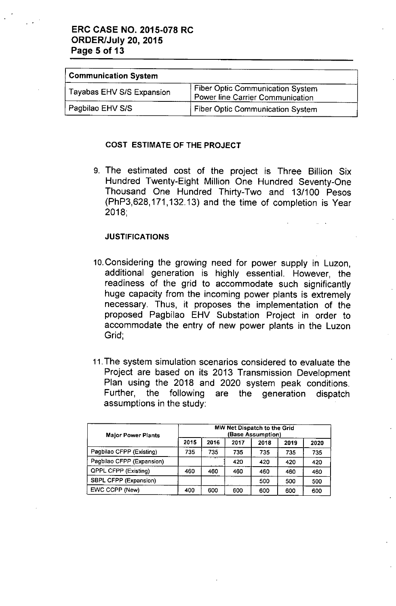| <b>Communication System</b> |                                                                             |
|-----------------------------|-----------------------------------------------------------------------------|
| Tayabas EHV S/S Expansion   | <b>Fiber Optic Communication System</b><br>Power line Carrier Communication |
| Pagbilao EHV S/S            | <b>Fiber Optic Communication System</b>                                     |

#### COST ESTIMATE OF THE PROJECT

9. The estimated cost of the project is Three Billion Six Hundred Twenty-Eight Million One Hundred Seventy-One Thousand One Hundred Thirty-Two and 13/100 Pesos (PhP3,628, 171,132.13) and the time of completion is Year 2018;

#### **JUSTIFICATIONS**

- 10.Considering the growing need for power supply in Luzon, additional generation is highly essential. However, the readiness of the grid to accommodate such significantly huge capacity from the incoming power plants is extremely necessary. Thus, it proposes the implementation of the proposed Pagbilao EHV Substation Project in order to accommodate the entry of new power plants in the Luzon Grid;
- 11.The system simulation scenarios considered to evaluate the Project are based on its 2013 Transmission Development Plan using the 2018 and 2020 system peak conditions. Further, the following are the generation dispatch assumptions in the study:

| <b>Major Power Plants</b>   | MW Net Dispatch to the Grid<br>(Base Assumption) |            |      |      |      |      |  |  |  |
|-----------------------------|--------------------------------------------------|------------|------|------|------|------|--|--|--|
|                             | 2015                                             | 2016       | 2017 | 2018 | 2019 | 2020 |  |  |  |
| Pagbilao CFPP (Existing)    | 735                                              | 735        | 735  | 735  | 735  | 735  |  |  |  |
| Pagbilao CFPP (Expansion)   |                                                  |            | 420  | 420  | 420  | 420  |  |  |  |
| <b>QPPL CFPP (Existing)</b> | 460                                              | ---<br>460 | 460  | 460  | 460  | 460  |  |  |  |
| SBPL CFPP (Expansion)       |                                                  |            |      | 500  | 500  | 500  |  |  |  |
| <b>EWC CCPP (New)</b>       | 400                                              | 600        | 600  | 600  | 600  | 600  |  |  |  |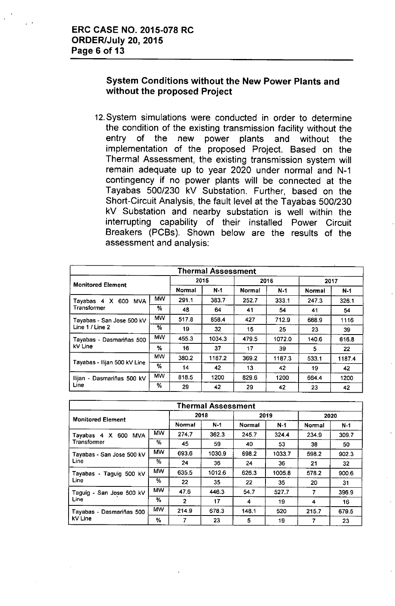## System Conditions without the New Power Plants and without the proposed Project

12.System simulations were conducted in order to determine the condition of the existing transmission facility without the entry of the new power plants and without the implementation of the proposed Project. Based on the Thermal Assessment, the existing transmission system will remain adequate up to year 2020 under normal and N-1 contingency if no power plants will be connected at the Tayabas 500/230 kV Substation. Further, based on the Short-Circuit Analysis, the fault level at the Tayabas 500/230 kV Substation and nearby substation is well within the interrupting capability of their installed Power Circuit Breakers (PCBs). Shown below are the results of the assessment and analysis:

|                              |           |        | <b>Thermal Assessment</b> |        |        |                                                                                  |        |
|------------------------------|-----------|--------|---------------------------|--------|--------|----------------------------------------------------------------------------------|--------|
| <b>Monitored Element</b>     |           |        | 2015                      |        | 2016   | 2017                                                                             |        |
|                              |           | Normal | $N-1$                     | Normal | $N-1$  | Normal<br>247.3<br>41<br>668.9<br>23<br>140.6<br>5<br>533.1<br>19<br>664.4<br>23 | $N-1$  |
| Tayabas 4 X 600 MVA          | <b>MW</b> | 291.1  | 383.7                     | 252.7  | 333.1  |                                                                                  | 326.1  |
| Transformer                  | %         | 48     | 64                        | 41     | 54     |                                                                                  | 54     |
| Tayabas - San Jose 500 kV    | <b>MW</b> | 517.8  | 858.4                     | 427    | 712.9  |                                                                                  | 1116   |
| Line 1 / Line 2              | %         | 19     | 32                        | 15     | 25     |                                                                                  | 39     |
| Tayabas - Dasmariñas 500     | <b>MW</b> | 455.3  | 1034.3                    | 479.5  | 1072.0 |                                                                                  | 616.8  |
| kV Line                      | %         | 16     | 37                        | 17     | 39     |                                                                                  | 22     |
|                              | <b>MW</b> | 380.2  | 1187.2                    | 369.2  | 1187.3 |                                                                                  | 1187.4 |
| Tayabas - Ilijan 500 kV Line | $\%$      | 14     | 42                        | 13     | 42     |                                                                                  | 42     |
| Ilijan - Dasmariñas 500 kV   | <b>MW</b> | 818.5  | 1200                      | 829.6  | 1200   |                                                                                  | 1200   |
| Line                         | ℅         | 29     | 42                        | 29     | 42     |                                                                                  | 42     |

|                                   |           |                | <b>Thermal Assessment</b> |               |        |        |       |  |
|-----------------------------------|-----------|----------------|---------------------------|---------------|--------|--------|-------|--|
| <b>Monitored Element</b>          |           | 2018           |                           |               | 2019   | 2020   |       |  |
|                                   |           | Normal         | $N-1$                     | <b>Normal</b> | $N-1$  | Normal | $N-1$ |  |
| Tayabas 4 X 600 MVA               | <b>MW</b> | 274.7          | 362.3                     | 245.7         | 324.4  | 234.9  | 309.7 |  |
| <b>Transformer</b>                | %         | 45             | 59                        | 40            | 53     | 38     | 50    |  |
| Tayabas - San Jose 500 kV<br>Line | <b>MW</b> | 693.6          | 1030.9                    | 698.2         | 1033.7 | 598.2  | 902.3 |  |
|                                   | %         | 24             | 36                        | 24            | 36     | 21     | 32    |  |
| Tayabas - Taguig 500 kV           | <b>MW</b> | 635.5          | 1012.6                    | 626.3         | 1005.8 | 578.2  | 900.6 |  |
| Line                              | %         | 22             | 35                        | 22            | 35     | 20     | 31    |  |
| Taguig - San Jose 500 kV          | <b>MW</b> | 47.6           | 446.3                     | 54.7          | 527.7  | 7      | 396.9 |  |
| Line                              | %         | $\overline{2}$ | 17                        | 4             | 19     | 4      | 16    |  |
| Tayabas - Dasmariñas 500          | <b>MW</b> | 214.9          | 678.3                     | 148.1         | 520    | 215.7  | 679.5 |  |
| kV Line                           | %         |                | 23                        | 5             | 19     | 7      | 23    |  |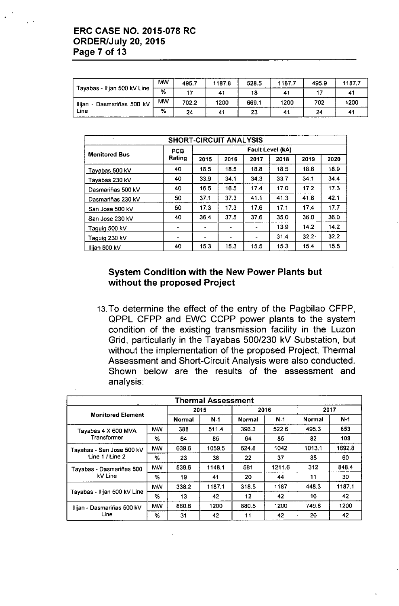# ERC CASE NO. 2015-078 RC ORDER/July 20,2015 Page 7 of 13

|                                      | <b>MW</b> | 495.7 | 1187.8 | 528.5 | 1187.7 | 495.9 | 1187.7 |
|--------------------------------------|-----------|-------|--------|-------|--------|-------|--------|
| Tayabas - Ilijan 500 kV Line         | %         |       | 41     | 18    |        |       |        |
| - Dasmariñas 500 kV<br><b>Ilijan</b> | <b>MW</b> | 702.2 | 1200   | 669.1 | 1200   | 702   | 1200   |
| Line                                 | %         | 24    |        | 23    |        | 24    |        |

|                      |                              |                         | <b>SHORT-CIRCUIT ANALYSIS</b> |                   |      |          |      |  |  |  |
|----------------------|------------------------------|-------------------------|-------------------------------|-------------------|------|----------|------|--|--|--|
| <b>Monitored Bus</b> | <b>PCB</b>                   | <b>Fault Level (kA)</b> |                               |                   |      |          |      |  |  |  |
|                      | Rating                       | 2015                    | 2016                          | 2017              | 2018 | 2019     | 2020 |  |  |  |
| Tayabas 500 kV       | 40                           | 18.5                    | 18.5                          | 18.8              | 18.5 | 18.8     | 18.9 |  |  |  |
| Tayabas 230 kV       | 40                           | 33.9                    | 34.1                          | 34.3              | 33.7 | 34.1     | 34.4 |  |  |  |
| Dasmariñas 500 kV    | 40                           | 16.5                    | 16.5                          | 17.4              | 17.0 | 17.2     | 17.3 |  |  |  |
| Dasmariñas 230 kV    | 50                           | 37.1                    | 37.3                          | 41.1              | 41.3 | 41.8     | 42.1 |  |  |  |
| San Jose 500 kV      | 50                           | 17.3                    | 17.3                          | 17.6              | 17.1 | 17.4     | 17.7 |  |  |  |
| San Jose 230 kV      | 40                           | 36.4                    | 37.5                          | 376               | 35.0 | 36.0     | 36.0 |  |  |  |
| Taguig 500 kV        |                              | $\blacksquare$          | ٠                             | $\hbox{\small -}$ | 13.9 | 14.2     | 14.2 |  |  |  |
| Taguig 230 kV        | $\qquad \qquad \blacksquare$ | $\blacksquare$          | ۰                             | $\blacksquare$    | 31.4 | $32.2 -$ | 32.2 |  |  |  |
| Ilijan 500 kV        | 40                           | 15.3                    | 15.3                          | 15.5              | 15.3 | 15.4     | 15.5 |  |  |  |

# System Condition with the New Power Plants but without the proposed Project

13.To determine the effect of the entry of the Pagbilao CFPP, QPPL CFPP and EWC CCPP power plants to the system condition of the existing transmission facility in the Luzon Grid, particularly in the Tayabas 500/230 kV Substation, but without the implementation of the proposed Project, Thermal Assessment and Short-Circuit Analysis were also conducted. Shown below are the results of the assessment and analysis:

|                              |               |        | <b>Thermal Assessment</b> |               |        |        |        |
|------------------------------|---------------|--------|---------------------------|---------------|--------|--------|--------|
|                              |               | 2015   |                           |               | 2016   |        | 2017   |
| <b>Monitored Element</b>     |               | Normal | $N-1$                     | <b>Normal</b> | $N-1$  | Normal | $N-1$  |
| Tayabas 4 X 600 MVA          | <b>MW</b>     | 388    | 511.4                     | 396.3         | 522.6  | 4953   | 653    |
| <b>Transformer</b>           | %             | 64     | 85                        | 64            | 85     | 82     | 108    |
| Tayabas - San Jose 500 kV    | <b>MW</b>     | 639.6  | 1059.5                    | 624.8         | 1042   | 1013.1 | 1692.8 |
| Line 1 / Line 2              | %             | 23     | 38                        | 22            | 37     | 35     | 60     |
| Tavabas - Dasmariñas 500     | <b>MW</b>     | 539.6  | 1148.1                    | 581           | 1211.6 | 312    | 848.4  |
| kV Line                      | $\frac{6}{2}$ | 19     | 41                        | 20            | 44     | 11     | 30     |
|                              | <b>MW</b>     | 338.2  | 1187.1                    | 318.5         | 1187   | 4483   | 1187.1 |
| Tayabas - Ilijan 500 kV Line | %             | 13     | 42                        | 12            | 42     | 16     | 42     |
| Ilijan - Dasmariñas 500 kV   | <b>MW</b>     | 860.6  | 1200                      | 880.5         | 1200   | 749.8  | 1200   |
| Line                         | %             | 31     | 42                        | 11            | 42     | 26     | 42     |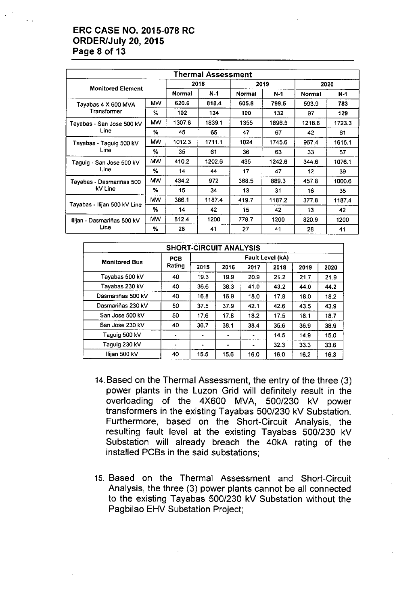## **ERC CASE NO. 2015-078 RC ORDER/July 20,2015 Page 8 of 13**

|                                                                                                                                                                 |           |        | <b>Thermal Assessment</b> |        |        |                                                                                                                              |        |
|-----------------------------------------------------------------------------------------------------------------------------------------------------------------|-----------|--------|---------------------------|--------|--------|------------------------------------------------------------------------------------------------------------------------------|--------|
| <b>Monitored Element</b><br>Tayabas 4 X 600 MVA<br>Transformer<br>%<br>Line<br>%<br>Line<br>%<br>Line<br>%<br>kV Line<br>%<br>Tayabas - Ilijan 500 kV Line<br>% |           |        | 2018                      |        | 2019   |                                                                                                                              | 2020   |
|                                                                                                                                                                 |           | Normal | $N-1$                     | Normal | $N-1$  | <b>Normal</b><br>593.9<br>97<br>1218.8<br>42<br>967.4<br>33<br>344.6<br>$12 \,$<br>457.8<br>16<br>377.8<br>13<br>820.9<br>28 | $N-1$  |
|                                                                                                                                                                 | MW.       | 620.6  | 818.4                     | 605.8  | 799.5  |                                                                                                                              | 783    |
|                                                                                                                                                                 |           | 102    | 134                       | 100    | 132    |                                                                                                                              | 129    |
| Tayabas - San Jose 500 kV                                                                                                                                       | <b>MW</b> | 1307.8 | 1839.1                    | 1355   | 1896.5 |                                                                                                                              | 1723.3 |
|                                                                                                                                                                 |           | 45     | 65                        | 47     | 67     |                                                                                                                              | 61     |
| Tayabas - Taguig 500 kV                                                                                                                                         | <b>MW</b> | 1012.3 | 1711.1                    | 1024   | 1745.6 |                                                                                                                              | 1615.1 |
|                                                                                                                                                                 |           | 35     | 61                        | 36     | 63     |                                                                                                                              | 57     |
| Taguig - San Jose 500 kV                                                                                                                                        | <b>MW</b> | 410.2  | 1202.6                    | 435    | 1242.6 |                                                                                                                              | 1076.1 |
|                                                                                                                                                                 |           | 14     | 44                        | 17     | 47     |                                                                                                                              | 39     |
| Tayabas - Dasmariñas 500                                                                                                                                        | <b>MW</b> | 434.2  | 972                       | 368.5  | 889.3  |                                                                                                                              | 1000.6 |
|                                                                                                                                                                 |           | 15     | 34                        | 13     | 31     |                                                                                                                              | 35     |
|                                                                                                                                                                 | <b>MW</b> | 386.1  | 1187.4                    | 419.7  | 1187.2 |                                                                                                                              | 1187.4 |
|                                                                                                                                                                 |           | 14     | 42                        | 15     | 42     |                                                                                                                              | 42     |
| Ilijan - Dasmariñas 500 kV                                                                                                                                      | <b>MW</b> | 812.4  | 1200                      | 778.7  | 1200   |                                                                                                                              | 1200   |
| Line                                                                                                                                                            | $\%$      | 28     | 41                        | 27     | 41     |                                                                                                                              | 41     |

|                      | <b>SHORT-CIRCUIT ANALYSIS</b> |                  |      |      |      |      |      |  |  |  |  |
|----------------------|-------------------------------|------------------|------|------|------|------|------|--|--|--|--|
| <b>Monitored Bus</b> | <b>PCB</b>                    | Fault Level (kA) |      |      |      |      |      |  |  |  |  |
|                      | Rating                        | 2015             | 2016 | 2017 | 2018 | 2019 | 2020 |  |  |  |  |
| Tayabas 500 kV       | 40                            | 19.3             | 19.9 | 20.9 | 21.2 | 21.7 | 21.9 |  |  |  |  |
| Tayabas 230 kV       | 40                            | 36.6             | 38.3 | 41.0 | 43.2 | 44.0 | 44.2 |  |  |  |  |
| Dasmariñas 500 kV    | 40                            | 16.8             | 16.9 | 18.0 | 17.8 | 18.0 | 18.2 |  |  |  |  |
| Dasmariñas 230 kV    | 50                            | 37.5             | 37.9 | 42.1 | 42.6 | 43.5 | 43.9 |  |  |  |  |
| San Jose 500 kV      | 50                            | 17.6             | 17.8 | 18.2 | 17.5 | 18.1 | 18.7 |  |  |  |  |
| San Jose 230 kV      | 40                            | 36.7             | 38.1 | 38.4 | 35.6 | 36.9 | 38.9 |  |  |  |  |
| Taguig 500 kV        |                               | ٠                |      |      | 14.5 | 14.9 | 15.0 |  |  |  |  |
| Taguig 230 kV        | ۰                             | $\blacksquare$   |      | ٠    | 32.3 | 33.3 | 33.6 |  |  |  |  |
| Ilijan 500 kV        | 40                            | 15.5             | 15.6 | 16.0 | 16.0 | 16.2 | 16.3 |  |  |  |  |

- 14. Based on the Thermal Assessment, the entry of the three (3) power plants in the Luzon Grid will definitely result in the overloading of the 4X600 MVA, 500/230 kV power transformers in the existing Tayabas 500/230 kV Substation. Furthermore, based on the Short-Circuit Analysis, the resulting fault level at the existing Tayabas 500/230 kV Substation will already breach the 40kA rating of the installed PCBs in the said substations;
- 15. Based on the Thermal Assessment and Short-Circuit Analysis, the three (3) power plants cannot be all connected to the existing Tayabas 500/230 kV Substation without the Pagbilao EHV Substation Project;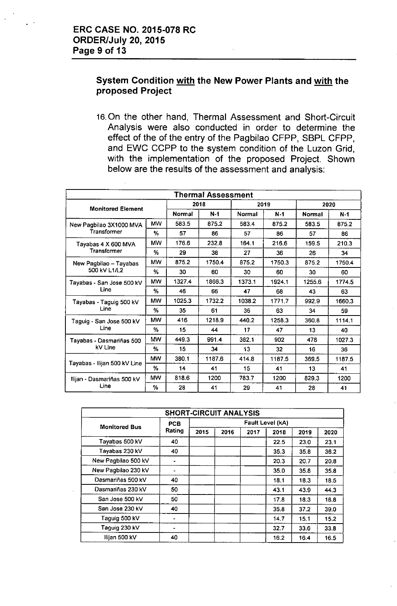## System Condition with the New Power Plants and with the proposed Project

16.On the other hand, Thermal Assessment and Short-Circuit Analysis were also conducted in order to determine the *effect* of the of the entry of the Pagbilao CFPP, SBPL CFPP, and EWC CCPP to the system condition of the Luzon Grid, with the implementation of the proposed Project. Shown below are the results of the assessment and analysis:

| <b>Monitored Element</b><br>Transformer<br>%<br>Tayabas 4 X 600 MVA<br>Transformer<br>%<br>New Pagbilao - Tayabas<br>500 kV L1/L2<br>%<br>Line<br>%<br>Tayabas - Taguig 500 kV<br>Line<br>%<br>Line<br>%<br>kV Line<br>%<br>Tayabas - Ilijan 500 kV Line<br>℅ |           |        | 2018   |                                                                                                                                                                                                                                            |        |                                                                                                            | 2020   |
|---------------------------------------------------------------------------------------------------------------------------------------------------------------------------------------------------------------------------------------------------------------|-----------|--------|--------|--------------------------------------------------------------------------------------------------------------------------------------------------------------------------------------------------------------------------------------------|--------|------------------------------------------------------------------------------------------------------------|--------|
|                                                                                                                                                                                                                                                               |           | Normal | $N-1$  | Normal                                                                                                                                                                                                                                     | $N-1$  | Normal                                                                                                     | $N-1$  |
| New Pagbilao 3X1000 MVA                                                                                                                                                                                                                                       | <b>MW</b> | 583.5  | 875.2  | 583.4                                                                                                                                                                                                                                      | 875.2  | 583.5                                                                                                      | 875.2  |
|                                                                                                                                                                                                                                                               |           | 57     | 86     | 57                                                                                                                                                                                                                                         | 86     | 57                                                                                                         | 86     |
|                                                                                                                                                                                                                                                               | <b>MW</b> | 176.6  | 232.8  | 164.1                                                                                                                                                                                                                                      | 216.6  | 159.5                                                                                                      | 210.3  |
|                                                                                                                                                                                                                                                               |           | 29     | 38     | 27                                                                                                                                                                                                                                         | 36     | 26<br>875.2<br>30<br>1255.6<br>43<br>992.9<br>34<br>360.8<br>13<br>478<br>16<br>369.5<br>13<br>829.3<br>28 | 34     |
|                                                                                                                                                                                                                                                               | MW.       | 875.2  | 1750.4 | 875.2                                                                                                                                                                                                                                      | 1750.3 |                                                                                                            | 1750.4 |
|                                                                                                                                                                                                                                                               |           | 30     | 60     | 30                                                                                                                                                                                                                                         | 60     |                                                                                                            | 60     |
| Tayabas - San Jose 500 kV                                                                                                                                                                                                                                     | <b>MW</b> | 1327.4 | 1866.3 | 1373.1                                                                                                                                                                                                                                     | 1924 1 |                                                                                                            | 1774.5 |
|                                                                                                                                                                                                                                                               |           | 46     | 66     | <b>Thermal Assessment</b><br>2019<br>47<br>68<br>1038.2<br>1771.7<br>61<br>36<br>63<br>440.2<br>1258.3<br>44<br>17<br>47<br>382.1<br>902<br>34<br>13<br>32<br>414.8<br>1187.5<br>15<br>41<br>41<br>1200<br>783.7<br>1200<br>41<br>29<br>41 |        | 63                                                                                                         |        |
|                                                                                                                                                                                                                                                               | <b>MW</b> | 1025.3 | 1732.2 |                                                                                                                                                                                                                                            |        |                                                                                                            | 1660.3 |
|                                                                                                                                                                                                                                                               |           | 35     |        |                                                                                                                                                                                                                                            |        |                                                                                                            | 59     |
| Taguig - San Jose 500 kV                                                                                                                                                                                                                                      | <b>MW</b> | 416    | 1218.9 |                                                                                                                                                                                                                                            |        |                                                                                                            | 1114.1 |
|                                                                                                                                                                                                                                                               |           | 15     |        |                                                                                                                                                                                                                                            |        |                                                                                                            | 40     |
| Tayabas - Dasmariñas 500                                                                                                                                                                                                                                      | <b>MW</b> | 449.3  | 991.4  |                                                                                                                                                                                                                                            |        |                                                                                                            | 1027.3 |
|                                                                                                                                                                                                                                                               |           | 15     |        |                                                                                                                                                                                                                                            |        |                                                                                                            | 36     |
|                                                                                                                                                                                                                                                               | <b>MW</b> | 380.1  | 1187.6 |                                                                                                                                                                                                                                            |        |                                                                                                            | 1187.5 |
|                                                                                                                                                                                                                                                               |           | 14     |        |                                                                                                                                                                                                                                            |        |                                                                                                            | 41     |
| Ilijan - Dasmariñas 500 kV                                                                                                                                                                                                                                    | <b>MW</b> | 818.6  |        |                                                                                                                                                                                                                                            |        |                                                                                                            | 1200   |
| Line                                                                                                                                                                                                                                                          | %         | 28     |        |                                                                                                                                                                                                                                            |        |                                                                                                            | 41     |

|                      | <b>SHORT-CIRCUIT ANALYSIS</b> |                  |      |      |      |      |      |  |  |  |
|----------------------|-------------------------------|------------------|------|------|------|------|------|--|--|--|
| <b>Monitored Bus</b> | <b>PCB</b>                    | Fault Level (kA) |      |      |      |      |      |  |  |  |
|                      | Rating                        | 2015             | 2016 | 2017 | 2018 | 2019 | 2020 |  |  |  |
| Tayabas 500 kV       | 40                            |                  |      |      | 22.5 | 23.0 | 23.1 |  |  |  |
| Tayabas 230 kV       | 40                            |                  |      |      | 35.3 | 35.8 | 36.2 |  |  |  |
| New Pagbilao 500 kV  |                               |                  |      |      | 20.3 | 20.7 | 20.8 |  |  |  |
| New Pagbilao 230 kV  |                               |                  |      |      | 35.0 | 35.8 | 35.8 |  |  |  |
| Dasmariñas 500 kV    | 40                            |                  |      |      | 18.1 | 18.3 | 18.5 |  |  |  |
| Dasmariñas 230 kV    | -50                           |                  |      |      | 43.1 | 43.9 | 44.3 |  |  |  |
| San Jose 500 kV      | 50                            |                  |      |      | 17.8 | 18.3 | 18.8 |  |  |  |
| San Jose 230 kV      | 40                            |                  |      |      | 35.8 | 37.2 | 39.0 |  |  |  |
| Taguig 500 kV        |                               |                  |      |      | 14.7 | 15.1 | 15.2 |  |  |  |
| Taguig 230 kV        | -                             |                  |      |      | 32.7 | 33.6 | 33.8 |  |  |  |
| Ilijan 500 kV        | 40                            |                  |      |      | 16.2 | 16.4 | 16.5 |  |  |  |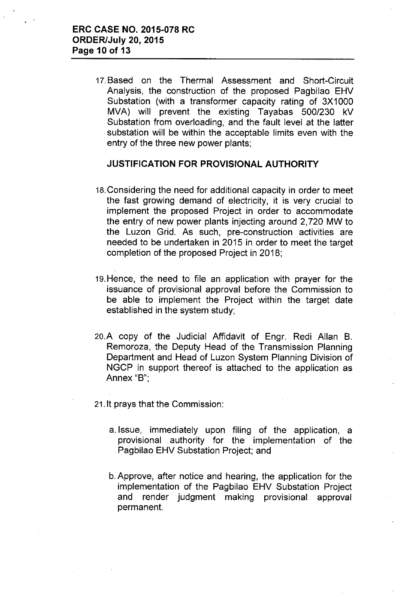17.Based on the Thermal Assessment and Short-Circuit Analysis, the construction of the proposed Pagbilao EHV Substation (with a transformer capacity rating of 3X1000 MVA) will prevent the existing Tayabas 500/230 kV Substation from overloading, and the fault level at the latter substation will be within the acceptable limits even with the entry of the three new power plants;

#### **JUSTIFICATION FOR PROVISIONAL AUTHORITY**

- 18.Considering the need for additional capacity in order to meet the fast growing demand of electricity, it is very crucial to implement the proposed Project in order to accommodate the entry of new power plants injecting around 2,720 MW to the Luzon Grid. As such, pre-construction activities are needed to be undertaken in 2015 in order to meet the target completion of the proposed Project in 2018;
- 19.Hence, the need to file an application with prayer for the issuance of provisional approval before the Commission to be able to implement the Project within the target date established in the system study;
- 2o.A copy of the Judicial Affidavit of Engr. Redi Allan B. Remoroza, the Deputy Head of the Transmission Planning Department and Head of Luzon System Planning Division of NGCP in support thereof is attached to the application as Annex "B'",
- 21.lt prays that the Commission:
	- a. Issue, immediately upon filing of the application, a provisional authority for the implementation of the Pagbilao EHV Substation Project; and
	- b.Approve, after notice and hearing, the application for the implementation of the Pagbilao EHV Substation Project and render judgment making provisional approval permanent.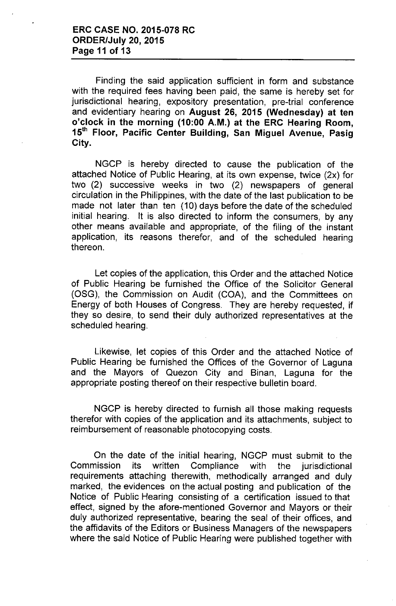Finding the said application sufficient in form and substance with the required fees having been paid, the same is hereby set for jurisdictional hearing, expository presentation, pre-trial conference and evidentiary hearing on **August 26, 2015 (Wednesday) at ten o'clock in the morning (10:00 A.M.) at the ERC Hearing Room, 15th Floor, Pacific Center Building, San Miguel Avenue, Pasig City.**

NGCP is hereby directed to cause the publication of the attached Notice of Public Hearing, at its own expense, twice (2x) for two (2) successive weeks in two (2) newspapers of general circulation in the Philippines, with the date of the last publication to be made not later than ten (10) days before the date of the scheduled initial hearing. It is also directed to inform the consumers, by any other means available and appropriate, of the filing of the instant application, its reasons therefor, and of the scheduled hearing thereon.

Let copies of the application, this Order and the attached Notice of Public Hearing be furnished the Office of the Solicitor General (OSG), the Commission on Audit (COA), and the Committees on Energy of both Houses of Congress. They are hereby requested, if they so desire, to send their duly authorized representatives at the scheduled hearing.

Likewise, let copies of this Order and the attached Notice of Public Hearing be furnished the Offices of the Governor of Laguna and the Mayors of Quezon City and Binan, Laguna for the appropriate posting thereof on their respective bulletin board.

NGCP is hereby directed to furnish all those making requests therefor with copies of the application and its attachments, subject to reimbursement of reasonable photocopying costs.

On the date of the initial hearing, NGCP must submit to the Commission its written Compliance with the jurisdictional requirements attaching therewith, methodically arranged and duly marked, the evidences on the actual posting and publication of the Notice of Public Hearing consisting of a certification issued to that effect, signed by the afore-mentioned Governor and Mayors or their duly authorized representative, bearing the seal of their offices, and the affidavits of the Editors or Business Managers of the newspapers where the said Notice of Public Hearing were published together with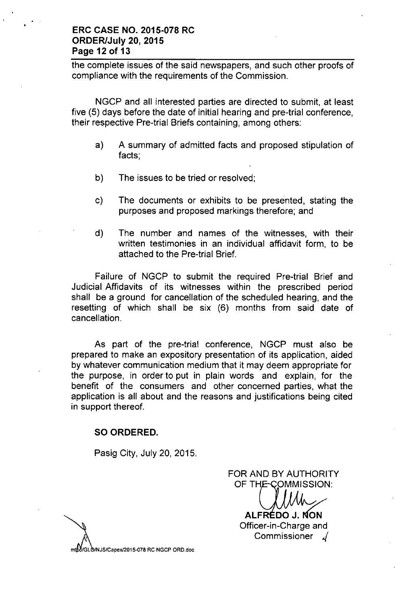### ERC CASE NO. 2015-078 RC ORDER/July 20, 2015 Page 12 of 13

the complete issues of the said newspapers, and such other proofs of compliance with the requirements of the Commission.

NGCP and all interested parties are directed to submit, at least five (5) days before the date of initial hearing and pre-trial conference, their respective Pre-trial Briefs containing, among others:

- a) A summary of admitted facts and proposed stipulation of facts;
- b) The issues to be tried or resolved;
- c) The documents or exhibits to be presented, stating the purposes and proposed markings therefore; and
- d) The number and names of the witnesses, with their written testimonies in an individual affidavit form, to be attached to the Pre-trial Brief.

Failure of NGCP to submit the required Pre-trial Brief and Judicial Affidavits of its witnesses within the prescribed period shall be a ground for cancellation of the scheduled hearing, and the resetting of which shall be six (6) months from said date of cancellation.

As part of the pre-trial conference, NGCP must also be prepared to make an expository presentation of its application, aided by whatever communication medium that it may deem appropriate for the purpose, in order to put in plain words and explain, for the benefit of the consumers and other concerned parties, what the application is all about and the reasons and justifications being cited in support thereof.

#### SO ORDERED.

Pasig City, July 20, 2015.

FOR AND BY AUTHORITY OF THE COMMISSION: **ALFRÉDO J. NON** Officer-in-Charge and Commissioner  $\sqrt{ }$ 

J/GLO/NJS/Capex/2015-078 RC NGCP ORD.doc